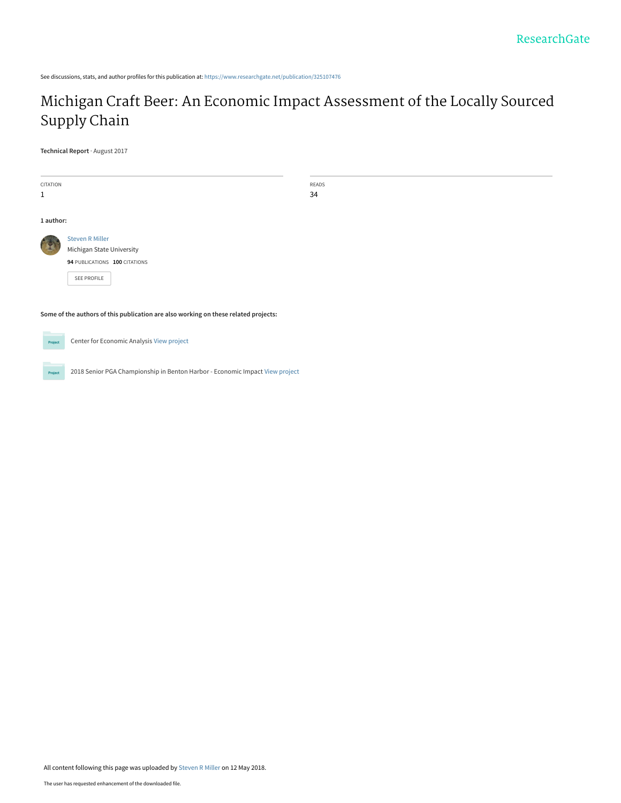See discussions, stats, and author profiles for this publication at: [https://www.researchgate.net/publication/325107476](https://www.researchgate.net/publication/325107476_Michigan_Craft_Beer_An_Economic_Impact_Assessment_of_the_Locally_Sourced_Supply_Chain?enrichId=rgreq-bd29dba808262c6f5d60fd5045262569-XXX&enrichSource=Y292ZXJQYWdlOzMyNTEwNzQ3NjtBUzo2MjU1MDkzOTg0OTkzMjhAMTUyNjE0NDQ3MDQwMw%3D%3D&el=1_x_2&_esc=publicationCoverPdf)

# [Michigan Craft Beer: An Economic Impact Assessment of the Locally Sourced](https://www.researchgate.net/publication/325107476_Michigan_Craft_Beer_An_Economic_Impact_Assessment_of_the_Locally_Sourced_Supply_Chain?enrichId=rgreq-bd29dba808262c6f5d60fd5045262569-XXX&enrichSource=Y292ZXJQYWdlOzMyNTEwNzQ3NjtBUzo2MjU1MDkzOTg0OTkzMjhAMTUyNjE0NDQ3MDQwMw%3D%3D&el=1_x_3&_esc=publicationCoverPdf) Supply Chain

**Technical Report** · August 2017

| CITATION  |                                                                                     | READS |
|-----------|-------------------------------------------------------------------------------------|-------|
| 1         |                                                                                     | 34    |
|           |                                                                                     |       |
| 1 author: |                                                                                     |       |
|           | <b>Steven R Miller</b>                                                              |       |
|           | Michigan State University                                                           |       |
|           | 94 PUBLICATIONS 100 CITATIONS                                                       |       |
|           | SEE PROFILE                                                                         |       |
|           |                                                                                     |       |
|           | Some of the authors of this publication are also working on these related projects: |       |

Center for Economic Analysis [View project](https://www.researchgate.net/project/Center-for-Economic-Analysis?enrichId=rgreq-bd29dba808262c6f5d60fd5045262569-XXX&enrichSource=Y292ZXJQYWdlOzMyNTEwNzQ3NjtBUzo2MjU1MDkzOTg0OTkzMjhAMTUyNjE0NDQ3MDQwMw%3D%3D&el=1_x_9&_esc=publicationCoverPdf) Project

2018 Senior PGA Championship in Benton Harbor - Economic Impact [View project](https://www.researchgate.net/project/2018-Senior-PGA-Championship-in-Benton-Harbor-Economic-Impact?enrichId=rgreq-bd29dba808262c6f5d60fd5045262569-XXX&enrichSource=Y292ZXJQYWdlOzMyNTEwNzQ3NjtBUzo2MjU1MDkzOTg0OTkzMjhAMTUyNjE0NDQ3MDQwMw%3D%3D&el=1_x_9&_esc=publicationCoverPdf) Project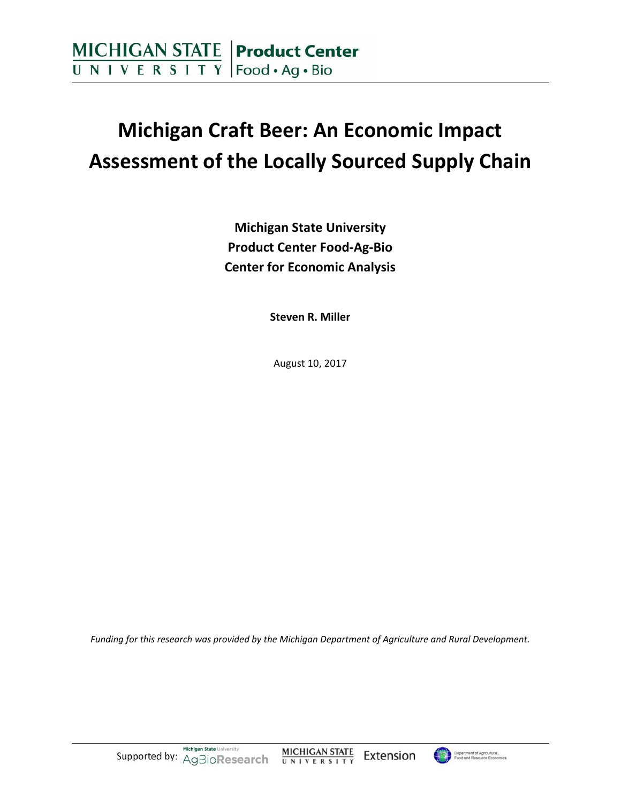# **Michigan Craft Beer: An Economic Impact Assessment of the Locally Sourced Supply Chain**

**Michigan State University Product Center Food‐Ag‐Bio Center for Economic Analysis**

**Steven R. Miller**

August 10, 2017

*Funding for this research was provided by the Michigan Department of Agriculture and Rural Development.*

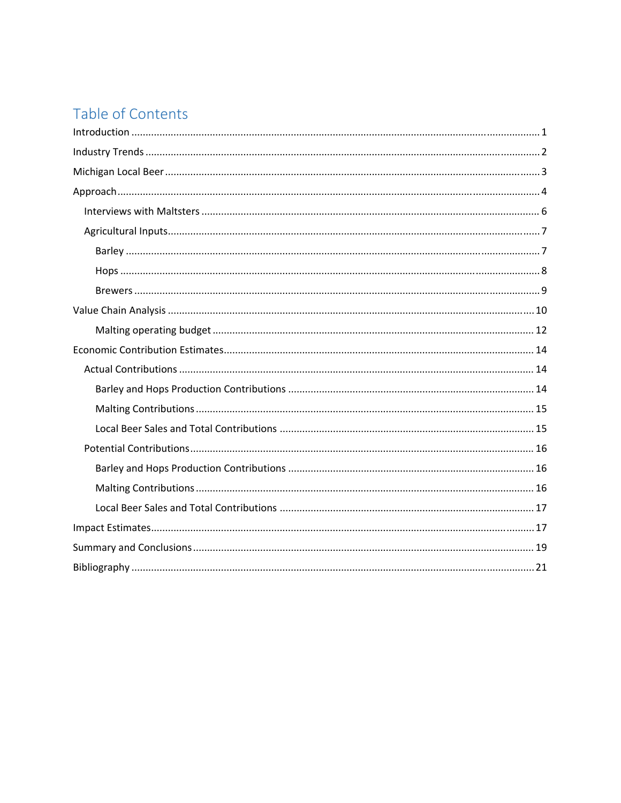# Table of Contents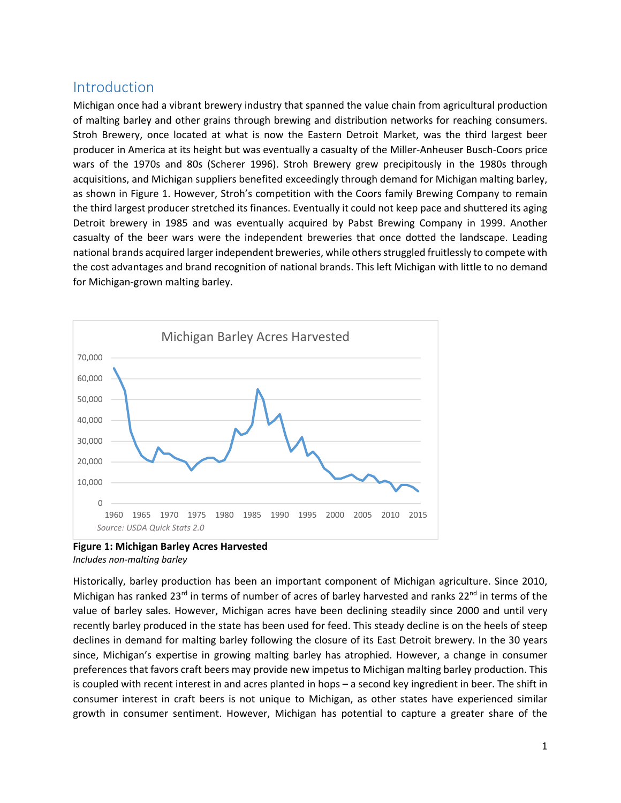# **Introduction**

Michigan once had a vibrant brewery industry that spanned the value chain from agricultural production of malting barley and other grains through brewing and distribution networks for reaching consumers. Stroh Brewery, once located at what is now the Eastern Detroit Market, was the third largest beer producer in America at its height but was eventually a casualty of the Miller‐Anheuser Busch‐Coors price wars of the 1970s and 80s (Scherer 1996). Stroh Brewery grew precipitously in the 1980s through acquisitions, and Michigan suppliers benefited exceedingly through demand for Michigan malting barley, as shown in Figure 1. However, Stroh's competition with the Coors family Brewing Company to remain the third largest producer stretched its finances. Eventually it could not keep pace and shuttered its aging Detroit brewery in 1985 and was eventually acquired by Pabst Brewing Company in 1999. Another casualty of the beer wars were the independent breweries that once dotted the landscape. Leading national brands acquired larger independent breweries, while others struggled fruitlessly to compete with the cost advantages and brand recognition of national brands. This left Michigan with little to no demand for Michigan‐grown malting barley.





Historically, barley production has been an important component of Michigan agriculture. Since 2010, Michigan has ranked 23<sup>rd</sup> in terms of number of acres of barley harvested and ranks  $22^{nd}$  in terms of the value of barley sales. However, Michigan acres have been declining steadily since 2000 and until very recently barley produced in the state has been used for feed. This steady decline is on the heels of steep declines in demand for malting barley following the closure of its East Detroit brewery. In the 30 years since, Michigan's expertise in growing malting barley has atrophied. However, a change in consumer preferences that favors craft beers may provide new impetus to Michigan malting barley production. This is coupled with recent interest in and acres planted in hops – a second key ingredient in beer. The shift in consumer interest in craft beers is not unique to Michigan, as other states have experienced similar growth in consumer sentiment. However, Michigan has potential to capture a greater share of the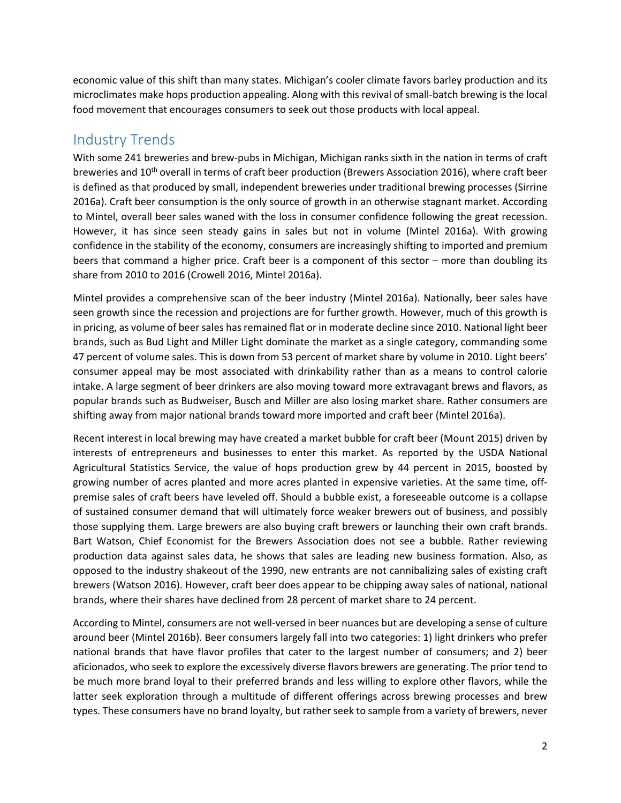economic value of this shift than many states. Michigan's cooler climate favors barley production and its microclimates make hops production appealing. Along with this revival of small‐batch brewing is the local food movement that encourages consumers to seek out those products with local appeal.

# Industry Trends

With some 241 breweries and brew-pubs in Michigan, Michigan ranks sixth in the nation in terms of craft breweries and 10<sup>th</sup> overall in terms of craft beer production (Brewers Association 2016), where craft beer is defined as that produced by small, independent breweries under traditional brewing processes (Sirrine 2016a). Craft beer consumption is the only source of growth in an otherwise stagnant market. According to Mintel, overall beer sales waned with the loss in consumer confidence following the great recession. However, it has since seen steady gains in sales but not in volume (Mintel 2016a). With growing confidence in the stability of the economy, consumers are increasingly shifting to imported and premium beers that command a higher price. Craft beer is a component of this sector – more than doubling its share from 2010 to 2016 (Crowell 2016, Mintel 2016a).

Mintel provides a comprehensive scan of the beer industry (Mintel 2016a). Nationally, beer sales have seen growth since the recession and projections are for further growth. However, much of this growth is in pricing, as volume of beer sales has remained flat or in moderate decline since 2010. National light beer brands, such as Bud Light and Miller Light dominate the market as a single category, commanding some 47 percent of volume sales. This is down from 53 percent of market share by volume in 2010. Light beers' consumer appeal may be most associated with drinkability rather than as a means to control calorie intake. A large segment of beer drinkers are also moving toward more extravagant brews and flavors, as popular brands such as Budweiser, Busch and Miller are also losing market share. Rather consumers are shifting away from major national brands toward more imported and craft beer (Mintel 2016a).

Recent interest in local brewing may have created a market bubble for craft beer (Mount 2015) driven by interests of entrepreneurs and businesses to enter this market. As reported by the USDA National Agricultural Statistics Service, the value of hops production grew by 44 percent in 2015, boosted by growing number of acres planted and more acres planted in expensive varieties. At the same time, off‐ premise sales of craft beers have leveled off. Should a bubble exist, a foreseeable outcome is a collapse of sustained consumer demand that will ultimately force weaker brewers out of business, and possibly those supplying them. Large brewers are also buying craft brewers or launching their own craft brands. Bart Watson, Chief Economist for the Brewers Association does not see a bubble. Rather reviewing production data against sales data, he shows that sales are leading new business formation. Also, as opposed to the industry shakeout of the 1990, new entrants are not cannibalizing sales of existing craft brewers (Watson 2016). However, craft beer does appear to be chipping away sales of national, national brands, where their shares have declined from 28 percent of market share to 24 percent.

According to Mintel, consumers are not well‐versed in beer nuances but are developing a sense of culture around beer (Mintel 2016b). Beer consumers largely fall into two categories: 1) light drinkers who prefer national brands that have flavor profiles that cater to the largest number of consumers; and 2) beer aficionados, who seek to explore the excessively diverse flavors brewers are generating. The prior tend to be much more brand loyal to their preferred brands and less willing to explore other flavors, while the latter seek exploration through a multitude of different offerings across brewing processes and brew types. These consumers have no brand loyalty, but rather seek to sample from a variety of brewers, never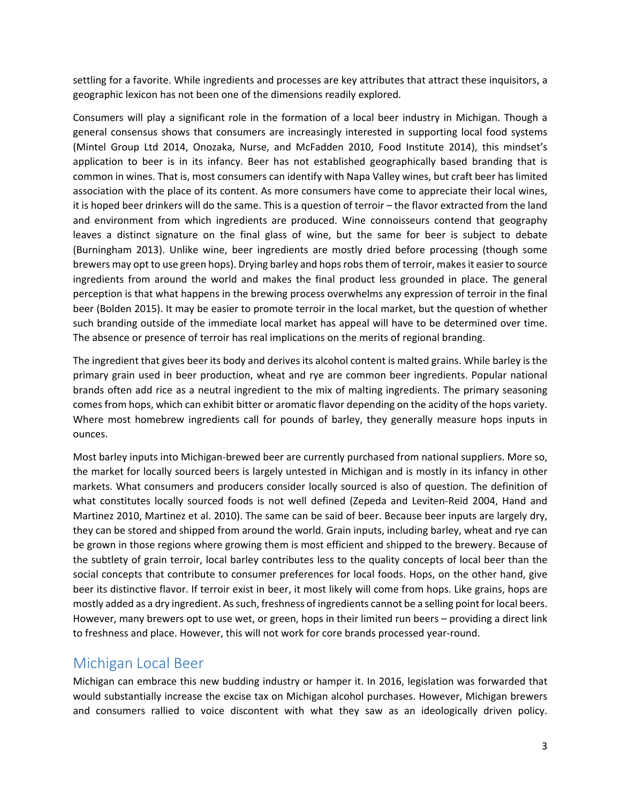settling for a favorite. While ingredients and processes are key attributes that attract these inquisitors, a geographic lexicon has not been one of the dimensions readily explored.

Consumers will play a significant role in the formation of a local beer industry in Michigan. Though a general consensus shows that consumers are increasingly interested in supporting local food systems (Mintel Group Ltd 2014, Onozaka, Nurse, and McFadden 2010, Food Institute 2014), this mindset's application to beer is in its infancy. Beer has not established geographically based branding that is common in wines. That is, most consumers can identify with Napa Valley wines, but craft beer has limited association with the place of its content. As more consumers have come to appreciate their local wines, it is hoped beer drinkers will do the same. This is a question of terroir – the flavor extracted from the land and environment from which ingredients are produced. Wine connoisseurs contend that geography leaves a distinct signature on the final glass of wine, but the same for beer is subject to debate (Burningham 2013). Unlike wine, beer ingredients are mostly dried before processing (though some brewers may opt to use green hops). Drying barley and hopsrobsthem of terroir, makesit easier to source ingredients from around the world and makes the final product less grounded in place. The general perception is that what happens in the brewing process overwhelms any expression of terroir in the final beer (Bolden 2015). It may be easier to promote terroir in the local market, but the question of whether such branding outside of the immediate local market has appeal will have to be determined over time. The absence or presence of terroir has real implications on the merits of regional branding.

The ingredient that gives beer its body and derives its alcohol content is malted grains. While barley is the primary grain used in beer production, wheat and rye are common beer ingredients. Popular national brands often add rice as a neutral ingredient to the mix of malting ingredients. The primary seasoning comes from hops, which can exhibit bitter or aromatic flavor depending on the acidity of the hops variety. Where most homebrew ingredients call for pounds of barley, they generally measure hops inputs in ounces.

Most barley inputs into Michigan‐brewed beer are currently purchased from national suppliers. More so, the market for locally sourced beers is largely untested in Michigan and is mostly in its infancy in other markets. What consumers and producers consider locally sourced is also of question. The definition of what constitutes locally sourced foods is not well defined (Zepeda and Leviten-Reid 2004, Hand and Martinez 2010, Martinez et al. 2010). The same can be said of beer. Because beer inputs are largely dry, they can be stored and shipped from around the world. Grain inputs, including barley, wheat and rye can be grown in those regions where growing them is most efficient and shipped to the brewery. Because of the subtlety of grain terroir, local barley contributes less to the quality concepts of local beer than the social concepts that contribute to consumer preferences for local foods. Hops, on the other hand, give beer its distinctive flavor. If terroir exist in beer, it most likely will come from hops. Like grains, hops are mostly added as a dry ingredient. Assuch, freshness of ingredients cannot be a selling point for local beers. However, many brewers opt to use wet, or green, hops in their limited run beers – providing a direct link to freshness and place. However, this will not work for core brands processed year-round.

# Michigan Local Beer

Michigan can embrace this new budding industry or hamper it. In 2016, legislation was forwarded that would substantially increase the excise tax on Michigan alcohol purchases. However, Michigan brewers and consumers rallied to voice discontent with what they saw as an ideologically driven policy.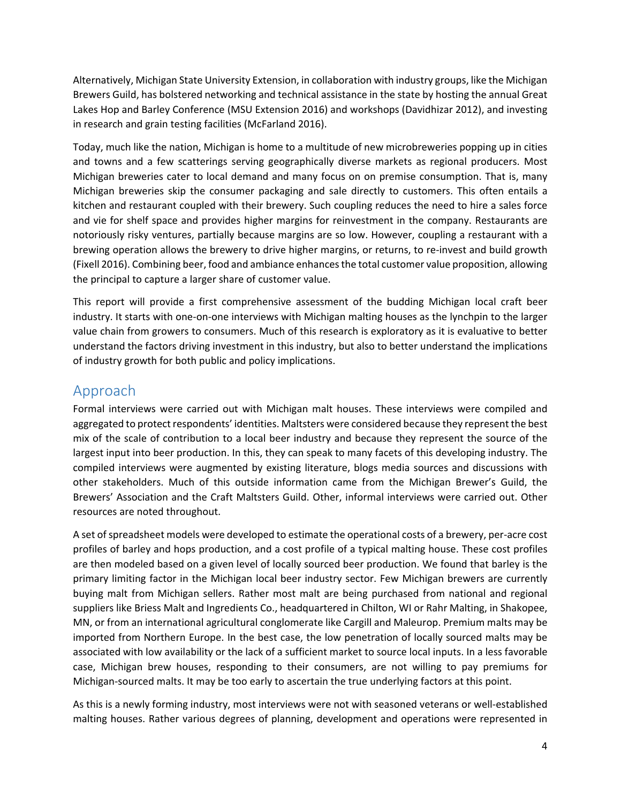Alternatively, Michigan State University Extension, in collaboration with industry groups, like the Michigan Brewers Guild, has bolstered networking and technical assistance in the state by hosting the annual Great Lakes Hop and Barley Conference (MSU Extension 2016) and workshops (Davidhizar 2012), and investing in research and grain testing facilities (McFarland 2016).

Today, much like the nation, Michigan is home to a multitude of new microbreweries popping up in cities and towns and a few scatterings serving geographically diverse markets as regional producers. Most Michigan breweries cater to local demand and many focus on on premise consumption. That is, many Michigan breweries skip the consumer packaging and sale directly to customers. This often entails a kitchen and restaurant coupled with their brewery. Such coupling reduces the need to hire a sales force and vie for shelf space and provides higher margins for reinvestment in the company. Restaurants are notoriously risky ventures, partially because margins are so low. However, coupling a restaurant with a brewing operation allows the brewery to drive higher margins, or returns, to re-invest and build growth (Fixell 2016). Combining beer, food and ambiance enhancesthe total customer value proposition, allowing the principal to capture a larger share of customer value.

This report will provide a first comprehensive assessment of the budding Michigan local craft beer industry. It starts with one-on-one interviews with Michigan malting houses as the lynchpin to the larger value chain from growers to consumers. Much of this research is exploratory as it is evaluative to better understand the factors driving investment in this industry, but also to better understand the implications of industry growth for both public and policy implications.

# Approach

Formal interviews were carried out with Michigan malt houses. These interviews were compiled and aggregated to protect respondents' identities. Maltsters were considered because they represent the best mix of the scale of contribution to a local beer industry and because they represent the source of the largest input into beer production. In this, they can speak to many facets of this developing industry. The compiled interviews were augmented by existing literature, blogs media sources and discussions with other stakeholders. Much of this outside information came from the Michigan Brewer's Guild, the Brewers' Association and the Craft Maltsters Guild. Other, informal interviews were carried out. Other resources are noted throughout.

A set of spreadsheet models were developed to estimate the operational costs of a brewery, per-acre cost profiles of barley and hops production, and a cost profile of a typical malting house. These cost profiles are then modeled based on a given level of locally sourced beer production. We found that barley is the primary limiting factor in the Michigan local beer industry sector. Few Michigan brewers are currently buying malt from Michigan sellers. Rather most malt are being purchased from national and regional suppliers like Briess Malt and Ingredients Co., headquartered in Chilton, WI or Rahr Malting, in Shakopee, MN, or from an international agricultural conglomerate like Cargill and Maleurop. Premium malts may be imported from Northern Europe. In the best case, the low penetration of locally sourced malts may be associated with low availability or the lack of a sufficient market to source local inputs. In a less favorable case, Michigan brew houses, responding to their consumers, are not willing to pay premiums for Michigan-sourced malts. It may be too early to ascertain the true underlying factors at this point.

As this is a newly forming industry, most interviews were not with seasoned veterans or well‐established malting houses. Rather various degrees of planning, development and operations were represented in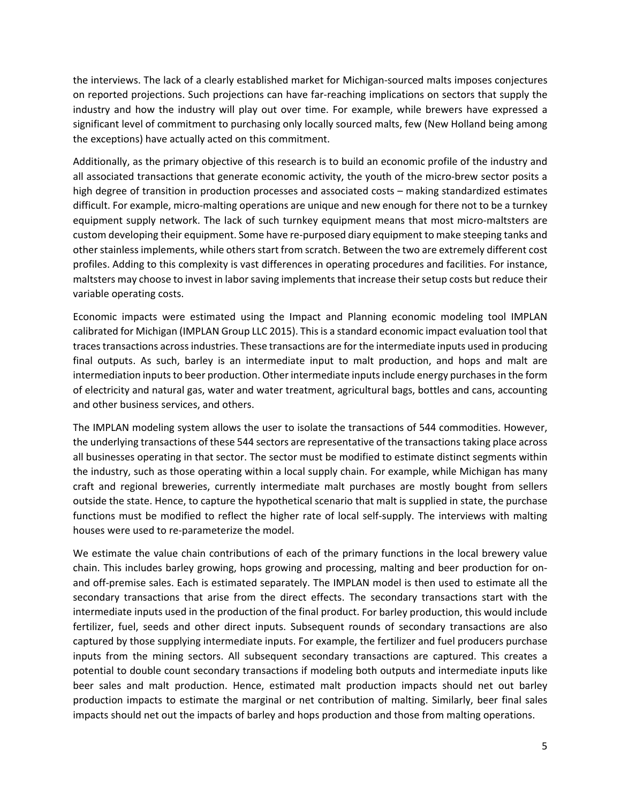the interviews. The lack of a clearly established market for Michigan‐sourced malts imposes conjectures on reported projections. Such projections can have far‐reaching implications on sectors that supply the industry and how the industry will play out over time. For example, while brewers have expressed a significant level of commitment to purchasing only locally sourced malts, few (New Holland being among the exceptions) have actually acted on this commitment.

Additionally, as the primary objective of this research is to build an economic profile of the industry and all associated transactions that generate economic activity, the youth of the micro‐brew sector posits a high degree of transition in production processes and associated costs – making standardized estimates difficult. For example, micro‐malting operations are unique and new enough for there not to be a turnkey equipment supply network. The lack of such turnkey equipment means that most micro-maltsters are custom developing their equipment. Some have re‐purposed diary equipment to make steeping tanks and other stainless implements, while others start from scratch. Between the two are extremely different cost profiles. Adding to this complexity is vast differences in operating procedures and facilities. For instance, maltsters may choose to invest in labor saving implements that increase their setup costs but reduce their variable operating costs.

Economic impacts were estimated using the Impact and Planning economic modeling tool IMPLAN calibrated for Michigan (IMPLAN Group LLC 2015). Thisis a standard economic impact evaluation tool that tracestransactions acrossindustries. These transactions are for the intermediate inputs used in producing final outputs. As such, barley is an intermediate input to malt production, and hops and malt are intermediation inputs to beer production. Other intermediate inputs include energy purchases in the form of electricity and natural gas, water and water treatment, agricultural bags, bottles and cans, accounting and other business services, and others.

The IMPLAN modeling system allows the user to isolate the transactions of 544 commodities. However, the underlying transactions of these 544 sectors are representative of the transactions taking place across all businesses operating in that sector. The sector must be modified to estimate distinct segments within the industry, such as those operating within a local supply chain. For example, while Michigan has many craft and regional breweries, currently intermediate malt purchases are mostly bought from sellers outside the state. Hence, to capture the hypothetical scenario that malt is supplied in state, the purchase functions must be modified to reflect the higher rate of local self‐supply. The interviews with malting houses were used to re‐parameterize the model.

We estimate the value chain contributions of each of the primary functions in the local brewery value chain. This includes barley growing, hops growing and processing, malting and beer production for on‐ and off-premise sales. Each is estimated separately. The IMPLAN model is then used to estimate all the secondary transactions that arise from the direct effects. The secondary transactions start with the intermediate inputs used in the production of the final product. For barley production, this would include fertilizer, fuel, seeds and other direct inputs. Subsequent rounds of secondary transactions are also captured by those supplying intermediate inputs. For example, the fertilizer and fuel producers purchase inputs from the mining sectors. All subsequent secondary transactions are captured. This creates a potential to double count secondary transactions if modeling both outputs and intermediate inputs like beer sales and malt production. Hence, estimated malt production impacts should net out barley production impacts to estimate the marginal or net contribution of malting. Similarly, beer final sales impacts should net out the impacts of barley and hops production and those from malting operations.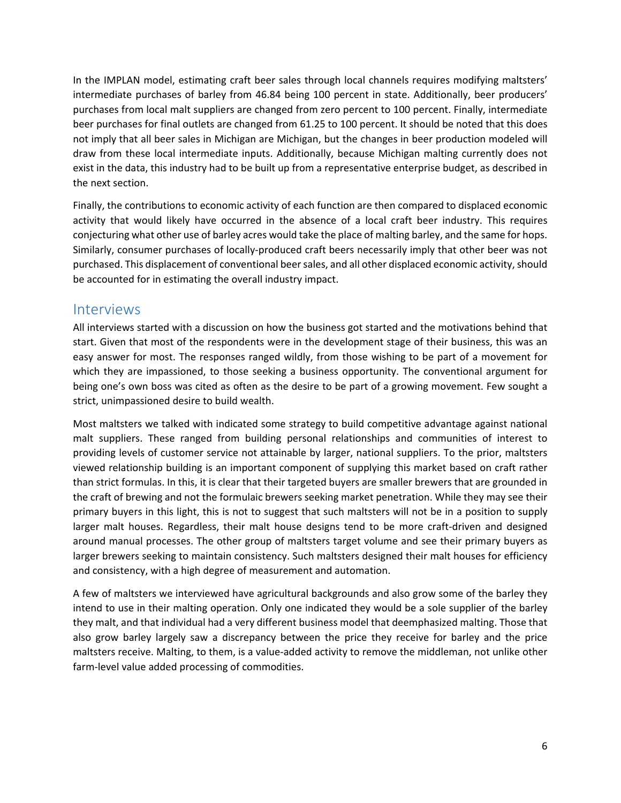In the IMPLAN model, estimating craft beer sales through local channels requires modifying maltsters' intermediate purchases of barley from 46.84 being 100 percent in state. Additionally, beer producers' purchases from local malt suppliers are changed from zero percent to 100 percent. Finally, intermediate beer purchases for final outlets are changed from 61.25 to 100 percent. It should be noted that this does not imply that all beer sales in Michigan are Michigan, but the changes in beer production modeled will draw from these local intermediate inputs. Additionally, because Michigan malting currently does not exist in the data, this industry had to be built up from a representative enterprise budget, as described in the next section.

Finally, the contributions to economic activity of each function are then compared to displaced economic activity that would likely have occurred in the absence of a local craft beer industry. This requires conjecturing what other use of barley acres would take the place of malting barley, and the same for hops. Similarly, consumer purchases of locally‐produced craft beers necessarily imply that other beer was not purchased. This displacement of conventional beer sales, and all other displaced economic activity, should be accounted for in estimating the overall industry impact.

## Interviews

All interviews started with a discussion on how the business got started and the motivations behind that start. Given that most of the respondents were in the development stage of their business, this was an easy answer for most. The responses ranged wildly, from those wishing to be part of a movement for which they are impassioned, to those seeking a business opportunity. The conventional argument for being one's own boss was cited as often as the desire to be part of a growing movement. Few sought a strict, unimpassioned desire to build wealth.

Most maltsters we talked with indicated some strategy to build competitive advantage against national malt suppliers. These ranged from building personal relationships and communities of interest to providing levels of customer service not attainable by larger, national suppliers. To the prior, maltsters viewed relationship building is an important component of supplying this market based on craft rather than strict formulas. In this, it is clear that their targeted buyers are smaller brewers that are grounded in the craft of brewing and not the formulaic brewers seeking market penetration. While they may see their primary buyers in this light, this is not to suggest that such maltsters will not be in a position to supply larger malt houses. Regardless, their malt house designs tend to be more craft‐driven and designed around manual processes. The other group of maltsters target volume and see their primary buyers as larger brewers seeking to maintain consistency. Such maltsters designed their malt houses for efficiency and consistency, with a high degree of measurement and automation.

A few of maltsters we interviewed have agricultural backgrounds and also grow some of the barley they intend to use in their malting operation. Only one indicated they would be a sole supplier of the barley they malt, and that individual had a very different business model that deemphasized malting. Those that also grow barley largely saw a discrepancy between the price they receive for barley and the price maltsters receive. Malting, to them, is a value‐added activity to remove the middleman, not unlike other farm‐level value added processing of commodities.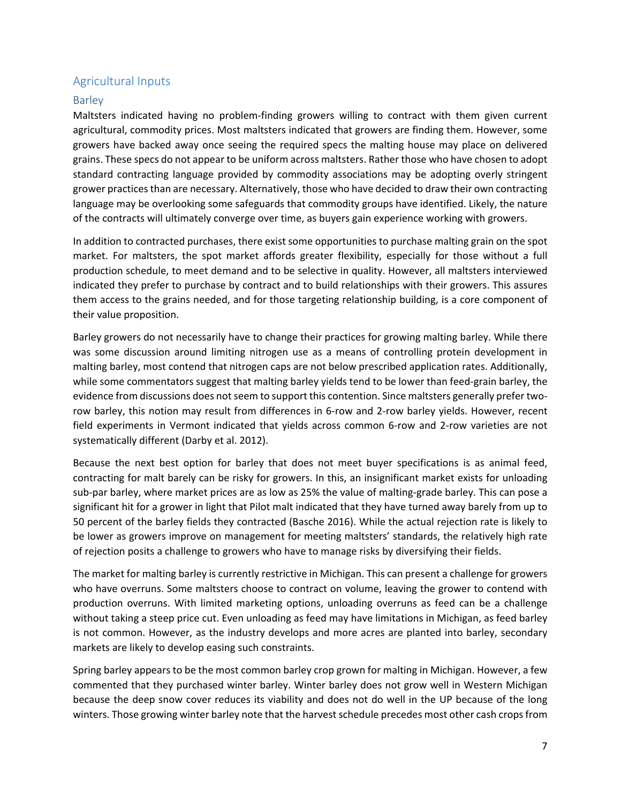### Agricultural Inputs

### Barley

Maltsters indicated having no problem-finding growers willing to contract with them given current agricultural, commodity prices. Most maltsters indicated that growers are finding them. However, some growers have backed away once seeing the required specs the malting house may place on delivered grains. These specs do not appear to be uniform across maltsters. Rather those who have chosen to adopt standard contracting language provided by commodity associations may be adopting overly stringent grower practices than are necessary. Alternatively, those who have decided to draw their own contracting language may be overlooking some safeguards that commodity groups have identified. Likely, the nature of the contracts will ultimately converge over time, as buyers gain experience working with growers.

In addition to contracted purchases, there exist some opportunities to purchase malting grain on the spot market. For maltsters, the spot market affords greater flexibility, especially for those without a full production schedule, to meet demand and to be selective in quality. However, all maltsters interviewed indicated they prefer to purchase by contract and to build relationships with their growers. This assures them access to the grains needed, and for those targeting relationship building, is a core component of their value proposition.

Barley growers do not necessarily have to change their practices for growing malting barley. While there was some discussion around limiting nitrogen use as a means of controlling protein development in malting barley, most contend that nitrogen caps are not below prescribed application rates. Additionally, while some commentators suggest that malting barley yields tend to be lower than feed-grain barley, the evidence from discussions does not seem to support this contention. Since maltsters generally prefer tworow barley, this notion may result from differences in 6‐row and 2‐row barley yields. However, recent field experiments in Vermont indicated that yields across common 6‐row and 2‐row varieties are not systematically different (Darby et al. 2012).

Because the next best option for barley that does not meet buyer specifications is as animal feed, contracting for malt barely can be risky for growers. In this, an insignificant market exists for unloading sub-par barley, where market prices are as low as 25% the value of malting-grade barley. This can pose a significant hit for a grower in light that Pilot malt indicated that they have turned away barely from up to 50 percent of the barley fields they contracted (Basche 2016). While the actual rejection rate is likely to be lower as growers improve on management for meeting maltsters' standards, the relatively high rate of rejection posits a challenge to growers who have to manage risks by diversifying their fields.

The market for malting barley is currently restrictive in Michigan. This can present a challenge for growers who have overruns. Some maltsters choose to contract on volume, leaving the grower to contend with production overruns. With limited marketing options, unloading overruns as feed can be a challenge without taking a steep price cut. Even unloading as feed may have limitations in Michigan, as feed barley is not common. However, as the industry develops and more acres are planted into barley, secondary markets are likely to develop easing such constraints.

Spring barley appears to be the most common barley crop grown for malting in Michigan. However, a few commented that they purchased winter barley. Winter barley does not grow well in Western Michigan because the deep snow cover reduces its viability and does not do well in the UP because of the long winters. Those growing winter barley note that the harvest schedule precedes most other cash crops from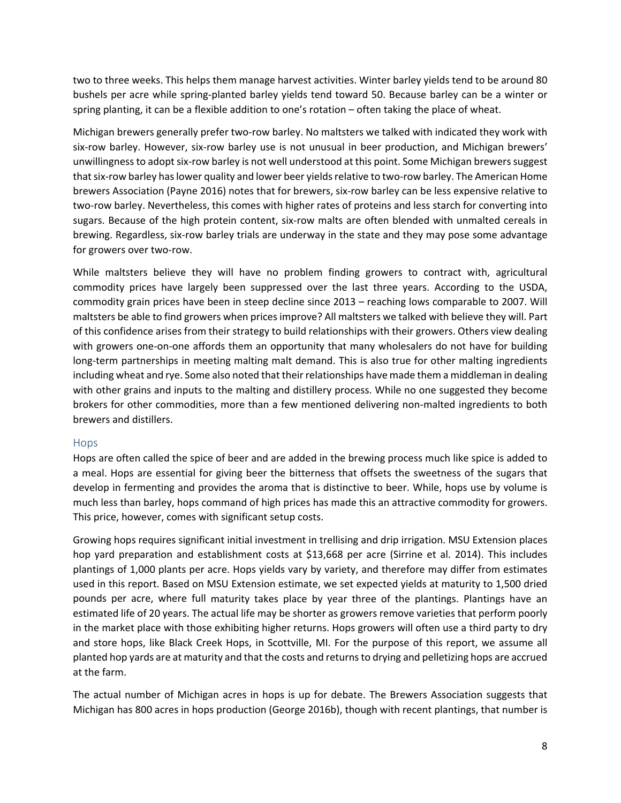two to three weeks. This helps them manage harvest activities. Winter barley yields tend to be around 80 bushels per acre while spring‐planted barley yields tend toward 50. Because barley can be a winter or spring planting, it can be a flexible addition to one's rotation – often taking the place of wheat.

Michigan brewers generally prefer two‐row barley. No maltsters we talked with indicated they work with six-row barley. However, six-row barley use is not unusual in beer production, and Michigan brewers' unwillingness to adopt six-row barley is not well understood at this point. Some Michigan brewers suggest that six-row barley has lower quality and lower beer yields relative to two-row barley. The American Home brewers Association (Payne 2016) notes that for brewers, six-row barley can be less expensive relative to two-row barley. Nevertheless, this comes with higher rates of proteins and less starch for converting into sugars. Because of the high protein content, six-row malts are often blended with unmalted cereals in brewing. Regardless, six‐row barley trials are underway in the state and they may pose some advantage for growers over two‐row.

While maltsters believe they will have no problem finding growers to contract with, agricultural commodity prices have largely been suppressed over the last three years. According to the USDA, commodity grain prices have been in steep decline since 2013 – reaching lows comparable to 2007. Will maltsters be able to find growers when pricesimprove? All maltsters we talked with believe they will. Part of this confidence arises from their strategy to build relationships with their growers. Others view dealing with growers one-on-one affords them an opportunity that many wholesalers do not have for building long-term partnerships in meeting malting malt demand. This is also true for other malting ingredients including wheat and rye. Some also noted that their relationships have made them a middleman in dealing with other grains and inputs to the malting and distillery process. While no one suggested they become brokers for other commodities, more than a few mentioned delivering non-malted ingredients to both brewers and distillers.

#### Hops

Hops are often called the spice of beer and are added in the brewing process much like spice is added to a meal. Hops are essential for giving beer the bitterness that offsets the sweetness of the sugars that develop in fermenting and provides the aroma that is distinctive to beer. While, hops use by volume is much less than barley, hops command of high prices has made this an attractive commodity for growers. This price, however, comes with significant setup costs.

Growing hops requires significant initial investment in trellising and drip irrigation. MSU Extension places hop yard preparation and establishment costs at \$13,668 per acre (Sirrine et al. 2014). This includes plantings of 1,000 plants per acre. Hops yields vary by variety, and therefore may differ from estimates used in this report. Based on MSU Extension estimate, we set expected yields at maturity to 1,500 dried pounds per acre, where full maturity takes place by year three of the plantings. Plantings have an estimated life of 20 years. The actual life may be shorter as growers remove varieties that perform poorly in the market place with those exhibiting higher returns. Hops growers will often use a third party to dry and store hops, like Black Creek Hops, in Scottville, MI. For the purpose of this report, we assume all planted hop yards are at maturity and that the costs and returnsto drying and pelletizing hops are accrued at the farm.

The actual number of Michigan acres in hops is up for debate. The Brewers Association suggests that Michigan has 800 acres in hops production (George 2016b), though with recent plantings, that number is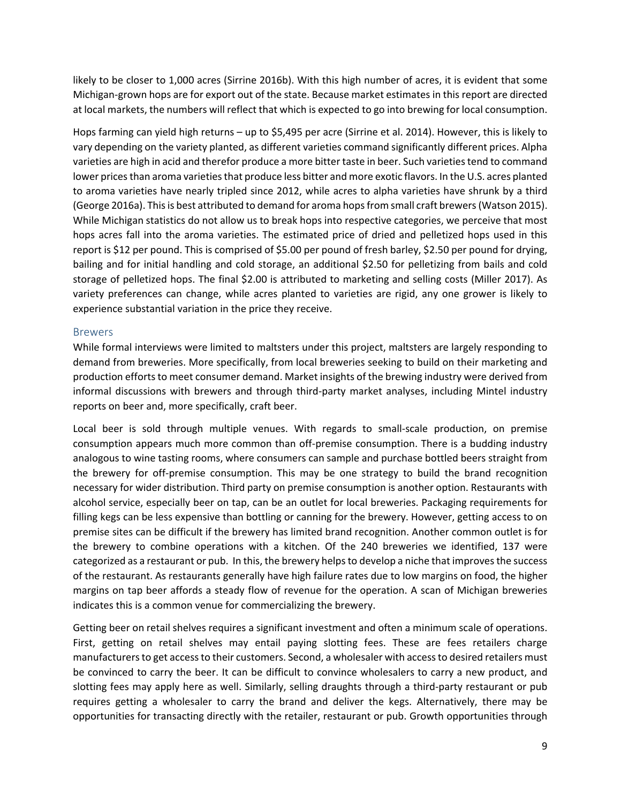likely to be closer to 1,000 acres (Sirrine 2016b). With this high number of acres, it is evident that some Michigan‐grown hops are for export out of the state. Because market estimates in this report are directed at local markets, the numbers will reflect that which is expected to go into brewing for local consumption.

Hops farming can yield high returns – up to \$5,495 per acre (Sirrine et al. 2014). However, this is likely to vary depending on the variety planted, as different varieties command significantly different prices. Alpha varieties are high in acid and therefor produce a more bitter taste in beer. Such varieties tend to command lower prices than aroma varieties that produce less bitter and more exotic flavors. In the U.S. acres planted to aroma varieties have nearly tripled since 2012, while acres to alpha varieties have shrunk by a third (George 2016a). Thisis best attributed to demand for aroma hopsfrom small craft brewers(Watson 2015). While Michigan statistics do not allow us to break hops into respective categories, we perceive that most hops acres fall into the aroma varieties. The estimated price of dried and pelletized hops used in this report is \$12 per pound. This is comprised of \$5.00 per pound of fresh barley, \$2.50 per pound for drying, bailing and for initial handling and cold storage, an additional \$2.50 for pelletizing from bails and cold storage of pelletized hops. The final \$2.00 is attributed to marketing and selling costs (Miller 2017). As variety preferences can change, while acres planted to varieties are rigid, any one grower is likely to experience substantial variation in the price they receive.

#### Brewers

While formal interviews were limited to maltsters under this project, maltsters are largely responding to demand from breweries. More specifically, from local breweries seeking to build on their marketing and production efforts to meet consumer demand. Market insights of the brewing industry were derived from informal discussions with brewers and through third‐party market analyses, including Mintel industry reports on beer and, more specifically, craft beer.

Local beer is sold through multiple venues. With regards to small-scale production, on premise consumption appears much more common than off‐premise consumption. There is a budding industry analogous to wine tasting rooms, where consumers can sample and purchase bottled beers straight from the brewery for off‐premise consumption. This may be one strategy to build the brand recognition necessary for wider distribution. Third party on premise consumption is another option. Restaurants with alcohol service, especially beer on tap, can be an outlet for local breweries. Packaging requirements for filling kegs can be less expensive than bottling or canning for the brewery. However, getting access to on premise sites can be difficult if the brewery has limited brand recognition. Another common outlet is for the brewery to combine operations with a kitchen. Of the 240 breweries we identified, 137 were categorized as a restaurant or pub. In this, the brewery helps to develop a niche that improves the success of the restaurant. As restaurants generally have high failure rates due to low margins on food, the higher margins on tap beer affords a steady flow of revenue for the operation. A scan of Michigan breweries indicates this is a common venue for commercializing the brewery.

Getting beer on retail shelves requires a significant investment and often a minimum scale of operations. First, getting on retail shelves may entail paying slotting fees. These are fees retailers charge manufacturersto get accessto their customers. Second, a wholesaler with accessto desired retailers must be convinced to carry the beer. It can be difficult to convince wholesalers to carry a new product, and slotting fees may apply here as well. Similarly, selling draughts through a third-party restaurant or pub requires getting a wholesaler to carry the brand and deliver the kegs. Alternatively, there may be opportunities for transacting directly with the retailer, restaurant or pub. Growth opportunities through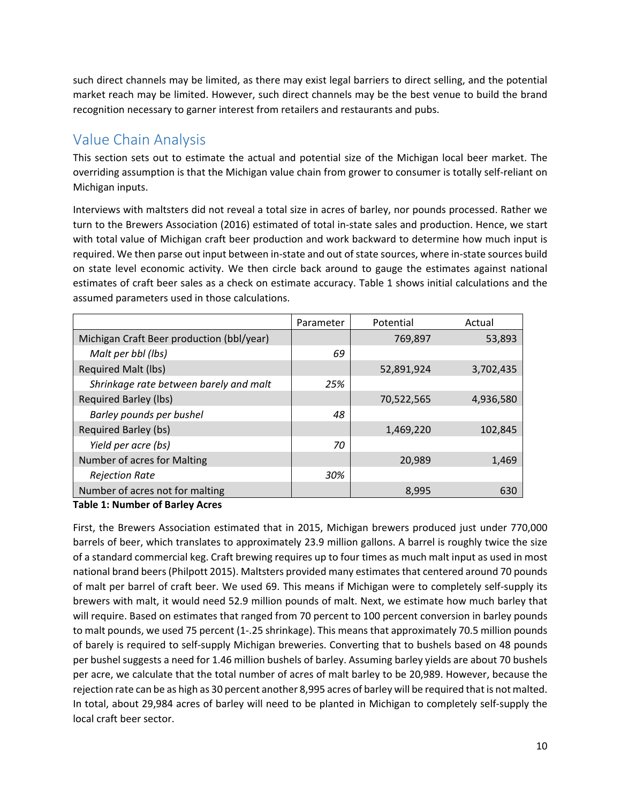such direct channels may be limited, as there may exist legal barriers to direct selling, and the potential market reach may be limited. However, such direct channels may be the best venue to build the brand recognition necessary to garner interest from retailers and restaurants and pubs.

# Value Chain Analysis

This section sets out to estimate the actual and potential size of the Michigan local beer market. The overriding assumption is that the Michigan value chain from grower to consumer is totally self‐reliant on Michigan inputs.

Interviews with maltsters did not reveal a total size in acres of barley, nor pounds processed. Rather we turn to the Brewers Association (2016) estimated of total in‐state sales and production. Hence, we start with total value of Michigan craft beer production and work backward to determine how much input is required. We then parse out input between in‐state and out ofstate sources, where in‐state sources build on state level economic activity. We then circle back around to gauge the estimates against national estimates of craft beer sales as a check on estimate accuracy. Table 1 shows initial calculations and the assumed parameters used in those calculations.

|                                           | Parameter | Potential  | Actual    |
|-------------------------------------------|-----------|------------|-----------|
| Michigan Craft Beer production (bbl/year) |           | 769,897    | 53,893    |
| Malt per bbl (lbs)                        | 69        |            |           |
| <b>Required Malt (lbs)</b>                |           | 52,891,924 | 3,702,435 |
| Shrinkage rate between barely and malt    | 25%       |            |           |
| <b>Required Barley (lbs)</b>              |           | 70,522,565 | 4,936,580 |
| Barley pounds per bushel                  | 48        |            |           |
| Required Barley (bs)                      |           | 1,469,220  | 102,845   |
| Yield per acre (bs)                       | 70        |            |           |
| Number of acres for Malting               |           | 20,989     | 1,469     |
| <b>Rejection Rate</b>                     | 30%       |            |           |
| Number of acres not for malting           |           | 8,995      | 630       |

### **Table 1: Number of Barley Acres**

First, the Brewers Association estimated that in 2015, Michigan brewers produced just under 770,000 barrels of beer, which translates to approximately 23.9 million gallons. A barrel is roughly twice the size of a standard commercial keg. Craft brewing requires up to four times as much malt input as used in most national brand beers(Philpott 2015). Maltsters provided many estimatesthat centered around 70 pounds of malt per barrel of craft beer. We used 69. This means if Michigan were to completely self‐supply its brewers with malt, it would need 52.9 million pounds of malt. Next, we estimate how much barley that will require. Based on estimates that ranged from 70 percent to 100 percent conversion in barley pounds to malt pounds, we used 75 percent (1‐.25 shrinkage). This means that approximately 70.5 million pounds of barely is required to self‐supply Michigan breweries. Converting that to bushels based on 48 pounds per bushel suggests a need for 1.46 million bushels of barley. Assuming barley yields are about 70 bushels per acre, we calculate that the total number of acres of malt barley to be 20,989. However, because the rejection rate can be as high as 30 percent another 8,995 acres of barley will be required that is not malted. In total, about 29,984 acres of barley will need to be planted in Michigan to completely self‐supply the local craft beer sector.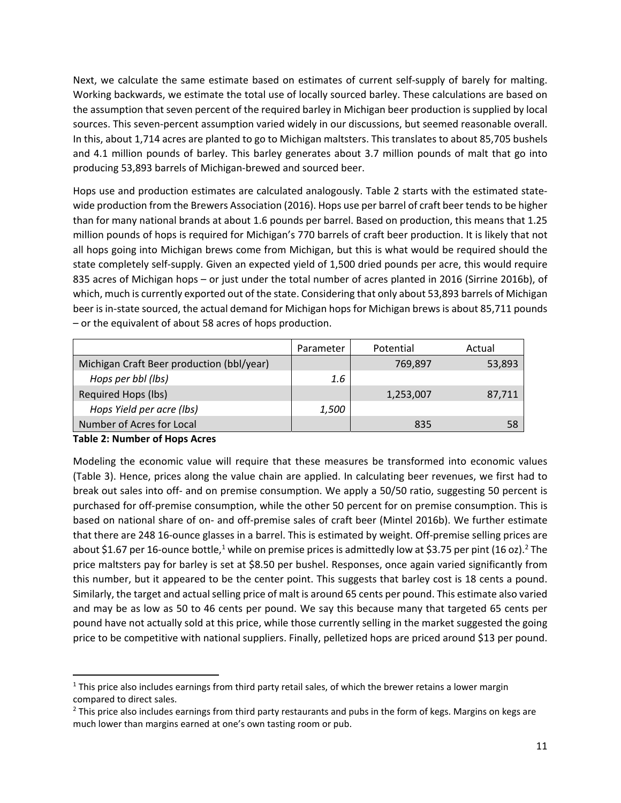Next, we calculate the same estimate based on estimates of current self‐supply of barely for malting. Working backwards, we estimate the total use of locally sourced barley. These calculations are based on the assumption that seven percent of the required barley in Michigan beer production is supplied by local sources. This seven‐percent assumption varied widely in our discussions, but seemed reasonable overall. In this, about 1,714 acres are planted to go to Michigan maltsters. This translates to about 85,705 bushels and 4.1 million pounds of barley. This barley generates about 3.7 million pounds of malt that go into producing 53,893 barrels of Michigan‐brewed and sourced beer.

Hops use and production estimates are calculated analogously. Table 2 starts with the estimated state‐ wide production from the Brewers Association (2016). Hops use per barrel of craft beer tends to be higher than for many national brands at about 1.6 pounds per barrel. Based on production, this means that 1.25 million pounds of hops is required for Michigan's 770 barrels of craft beer production. It is likely that not all hops going into Michigan brews come from Michigan, but this is what would be required should the state completely self‐supply. Given an expected yield of 1,500 dried pounds per acre, this would require 835 acres of Michigan hops – or just under the total number of acres planted in 2016 (Sirrine 2016b), of which, much is currently exported out of the state. Considering that only about 53,893 barrels of Michigan beer is in-state sourced, the actual demand for Michigan hops for Michigan brews is about 85,711 pounds – or the equivalent of about 58 acres of hops production.

|                                           | Parameter | Potential | Actual |
|-------------------------------------------|-----------|-----------|--------|
| Michigan Craft Beer production (bbl/year) |           | 769,897   | 53,893 |
| Hops per bbl (lbs)                        | 1.6       |           |        |
| Required Hops (lbs)                       |           | 1,253,007 | 87,711 |
| Hops Yield per acre (lbs)                 | 1,500     |           |        |
| Number of Acres for Local                 |           | 835       | 58     |

#### **Table 2: Number of Hops Acres**

Modeling the economic value will require that these measures be transformed into economic values (Table 3). Hence, prices along the value chain are applied. In calculating beer revenues, we first had to break out sales into off‐ and on premise consumption. We apply a 50/50 ratio, suggesting 50 percent is purchased for off‐premise consumption, while the other 50 percent for on premise consumption. This is based on national share of on‐ and off‐premise sales of craft beer (Mintel 2016b). We further estimate that there are 248 16-ounce glasses in a barrel. This is estimated by weight. Off-premise selling prices are about \$1.67 per 16-ounce bottle,<sup>1</sup> while on premise prices is admittedly low at \$3.75 per pint (16 oz).<sup>2</sup> The price maltsters pay for barley is set at \$8.50 per bushel. Responses, once again varied significantly from this number, but it appeared to be the center point. This suggests that barley cost is 18 cents a pound. Similarly, the target and actual selling price of malt is around 65 cents per pound. This estimate also varied and may be as low as 50 to 46 cents per pound. We say this because many that targeted 65 cents per pound have not actually sold at this price, while those currently selling in the market suggested the going price to be competitive with national suppliers. Finally, pelletized hops are priced around \$13 per pound.

 $1$  This price also includes earnings from third party retail sales, of which the brewer retains a lower margin compared to direct sales.

<sup>&</sup>lt;sup>2</sup> This price also includes earnings from third party restaurants and pubs in the form of kegs. Margins on kegs are much lower than margins earned at one's own tasting room or pub.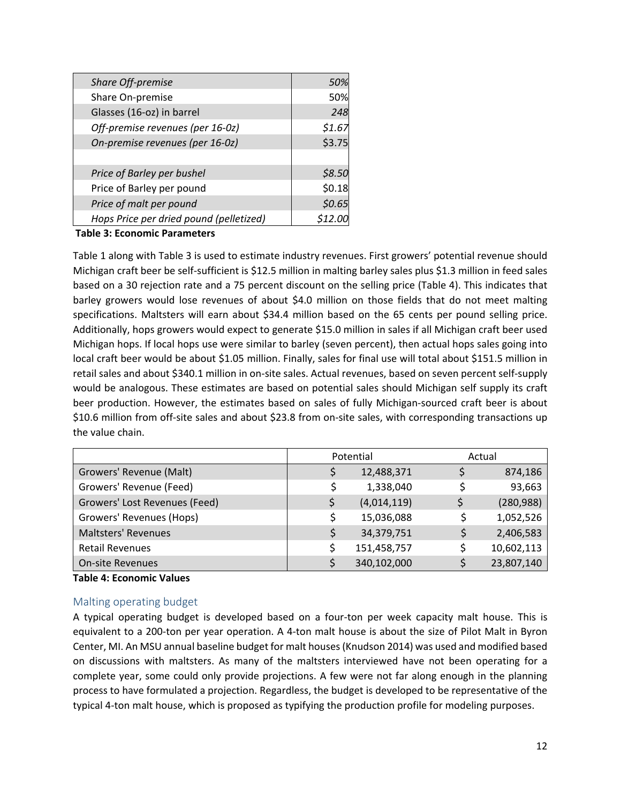| Share Off-premise                       | 50%    |
|-----------------------------------------|--------|
| Share On-premise                        | 50%    |
| Glasses (16-oz) in barrel               | 248    |
| Off-premise revenues (per 16-0z)        | \$1.67 |
| On-premise revenues (per 16-0z)         | \$3.75 |
|                                         |        |
| Price of Barley per bushel              | \$8.50 |
| Price of Barley per pound               | \$0.18 |
| Price of malt per pound                 | \$0.65 |
| Hops Price per dried pound (pelletized) |        |

#### **Table 3: Economic Parameters**

Table 1 along with Table 3 is used to estimate industry revenues. First growers' potential revenue should Michigan craft beer be self‐sufficient is \$12.5 million in malting barley sales plus \$1.3 million in feed sales based on a 30 rejection rate and a 75 percent discount on the selling price (Table 4). This indicates that barley growers would lose revenues of about \$4.0 million on those fields that do not meet malting specifications. Maltsters will earn about \$34.4 million based on the 65 cents per pound selling price. Additionally, hops growers would expect to generate \$15.0 million in sales if all Michigan craft beer used Michigan hops. If local hops use were similar to barley (seven percent), then actual hops sales going into local craft beer would be about \$1.05 million. Finally, sales for final use will total about \$151.5 million in retail sales and about \$340.1 million in on‐site sales. Actual revenues, based on seven percent self‐supply would be analogous. These estimates are based on potential sales should Michigan self supply its craft beer production. However, the estimates based on sales of fully Michigan‐sourced craft beer is about \$10.6 million from off‐site sales and about \$23.8 from on‐site sales, with corresponding transactions up the value chain.

|                               | Potential |             | Actual     |
|-------------------------------|-----------|-------------|------------|
| Growers' Revenue (Malt)       |           | 12,488,371  | 874,186    |
| Growers' Revenue (Feed)       |           | 1,338,040   | 93,663     |
| Growers' Lost Revenues (Feed) |           | (4,014,119) | (280, 988) |
| Growers' Revenues (Hops)      |           | 15,036,088  | 1,052,526  |
| <b>Maltsters' Revenues</b>    |           | 34,379,751  | 2,406,583  |
| <b>Retail Revenues</b>        |           | 151,458,757 | 10,602,113 |
| <b>On-site Revenues</b>       |           | 340,102,000 | 23,807,140 |

#### **Table 4: Economic Values**

#### Malting operating budget

A typical operating budget is developed based on a four‐ton per week capacity malt house. This is equivalent to a 200‐ton per year operation. A 4‐ton malt house is about the size of Pilot Malt in Byron Center, MI. An MSU annual baseline budget for malt houses(Knudson 2014) was used and modified based on discussions with maltsters. As many of the maltsters interviewed have not been operating for a complete year, some could only provide projections. A few were not far along enough in the planning process to have formulated a projection. Regardless, the budget is developed to be representative of the typical 4‐ton malt house, which is proposed as typifying the production profile for modeling purposes.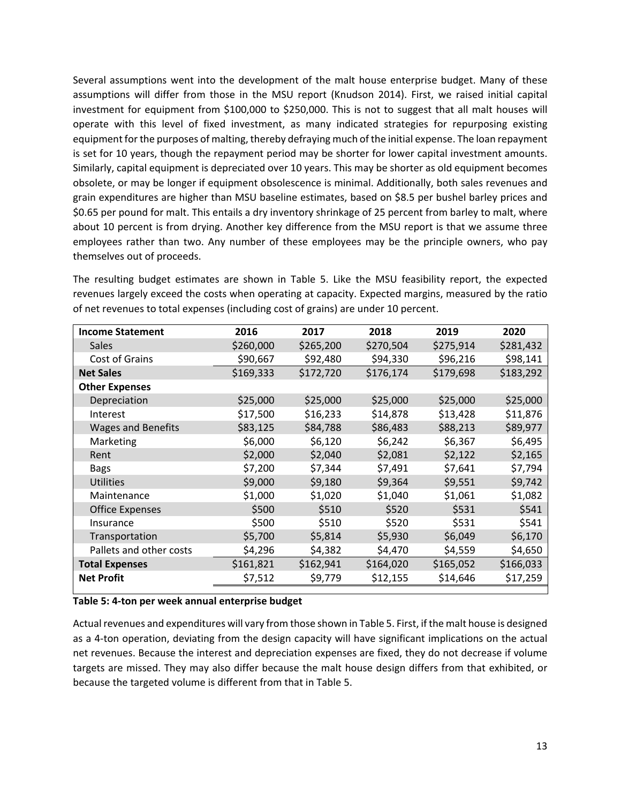Several assumptions went into the development of the malt house enterprise budget. Many of these assumptions will differ from those in the MSU report (Knudson 2014). First, we raised initial capital investment for equipment from \$100,000 to \$250,000. This is not to suggest that all malt houses will operate with this level of fixed investment, as many indicated strategies for repurposing existing equipment forthe purposes of malting, thereby defraying much of the initial expense. The loan repayment is set for 10 years, though the repayment period may be shorter for lower capital investment amounts. Similarly, capital equipment is depreciated over 10 years. This may be shorter as old equipment becomes obsolete, or may be longer if equipment obsolescence is minimal. Additionally, both sales revenues and grain expenditures are higher than MSU baseline estimates, based on \$8.5 per bushel barley prices and \$0.65 per pound for malt. This entails a dry inventory shrinkage of 25 percent from barley to malt, where about 10 percent is from drying. Another key difference from the MSU report is that we assume three employees rather than two. Any number of these employees may be the principle owners, who pay themselves out of proceeds.

The resulting budget estimates are shown in Table 5. Like the MSU feasibility report, the expected revenues largely exceed the costs when operating at capacity. Expected margins, measured by the ratio of net revenues to total expenses (including cost of grains) are under 10 percent.

| <b>Income Statement</b>   | 2016      | 2017      | 2018      | 2019      | 2020      |
|---------------------------|-----------|-----------|-----------|-----------|-----------|
| <b>Sales</b>              | \$260,000 | \$265,200 | \$270,504 | \$275,914 | \$281,432 |
| Cost of Grains            | \$90,667  | \$92,480  | \$94,330  | \$96,216  | \$98,141  |
| <b>Net Sales</b>          | \$169,333 | \$172,720 | \$176,174 | \$179,698 | \$183,292 |
| <b>Other Expenses</b>     |           |           |           |           |           |
| Depreciation              | \$25,000  | \$25,000  | \$25,000  | \$25,000  | \$25,000  |
| Interest                  | \$17,500  | \$16,233  | \$14,878  | \$13,428  | \$11,876  |
| <b>Wages and Benefits</b> | \$83,125  | \$84,788  | \$86,483  | \$88,213  | \$89,977  |
| Marketing                 | \$6,000   | \$6,120   | \$6,242   | \$6,367   | \$6,495   |
| Rent                      | \$2,000   | \$2,040   | \$2,081   | \$2,122   | \$2,165   |
| <b>Bags</b>               | \$7,200   | \$7,344   | \$7,491   | \$7,641   | \$7,794   |
| <b>Utilities</b>          | \$9,000   | \$9,180   | \$9,364   | \$9,551   | \$9,742   |
| Maintenance               | \$1,000   | \$1,020   | \$1,040   | \$1,061   | \$1,082   |
| <b>Office Expenses</b>    | \$500     | \$510     | \$520     | \$531     | \$541     |
| Insurance                 | \$500     | \$510     | \$520     | \$531     | \$541     |
| Transportation            | \$5,700   | \$5,814   | \$5,930   | \$6,049   | \$6,170   |
| Pallets and other costs   | \$4,296   | \$4,382   | \$4,470   | \$4,559   | \$4,650   |
| <b>Total Expenses</b>     | \$161,821 | \$162,941 | \$164,020 | \$165,052 | \$166,033 |
| <b>Net Profit</b>         | \$7,512   | \$9,779   | \$12,155  | \$14,646  | \$17,259  |

#### **Table 5: 4‐ton per week annual enterprise budget**

Actual revenues and expenditures will vary from those shown in Table 5. First, if the malt house is designed as a 4‐ton operation, deviating from the design capacity will have significant implications on the actual net revenues. Because the interest and depreciation expenses are fixed, they do not decrease if volume targets are missed. They may also differ because the malt house design differs from that exhibited, or because the targeted volume is different from that in Table 5.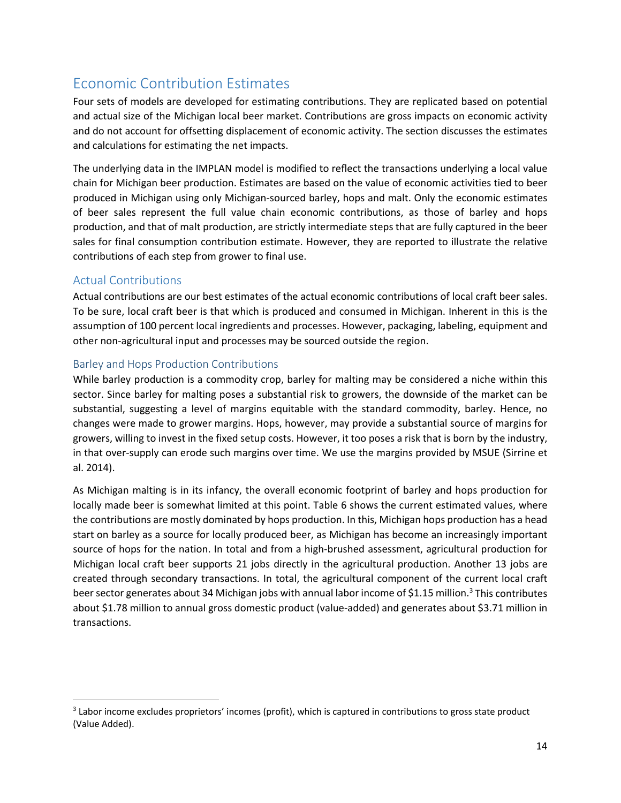# Economic Contribution Estimates

Four sets of models are developed for estimating contributions. They are replicated based on potential and actual size of the Michigan local beer market. Contributions are gross impacts on economic activity and do not account for offsetting displacement of economic activity. The section discusses the estimates and calculations for estimating the net impacts.

The underlying data in the IMPLAN model is modified to reflect the transactions underlying a local value chain for Michigan beer production. Estimates are based on the value of economic activities tied to beer produced in Michigan using only Michigan‐sourced barley, hops and malt. Only the economic estimates of beer sales represent the full value chain economic contributions, as those of barley and hops production, and that of malt production, are strictly intermediate steps that are fully captured in the beer sales for final consumption contribution estimate. However, they are reported to illustrate the relative contributions of each step from grower to final use.

### Actual Contributions

Actual contributions are our best estimates of the actual economic contributions of local craft beer sales. To be sure, local craft beer is that which is produced and consumed in Michigan. Inherent in this is the assumption of 100 percent local ingredients and processes. However, packaging, labeling, equipment and other non‐agricultural input and processes may be sourced outside the region.

### Barley and Hops Production Contributions

While barley production is a commodity crop, barley for malting may be considered a niche within this sector. Since barley for malting poses a substantial risk to growers, the downside of the market can be substantial, suggesting a level of margins equitable with the standard commodity, barley. Hence, no changes were made to grower margins. Hops, however, may provide a substantial source of margins for growers, willing to invest in the fixed setup costs. However, it too poses a risk that is born by the industry, in that over‐supply can erode such margins over time. We use the margins provided by MSUE (Sirrine et al. 2014).

As Michigan malting is in its infancy, the overall economic footprint of barley and hops production for locally made beer is somewhat limited at this point. Table 6 shows the current estimated values, where the contributions are mostly dominated by hops production. In this, Michigan hops production has a head start on barley as a source for locally produced beer, as Michigan has become an increasingly important source of hops for the nation. In total and from a high-brushed assessment, agricultural production for Michigan local craft beer supports 21 jobs directly in the agricultural production. Another 13 jobs are created through secondary transactions. In total, the agricultural component of the current local craft beer sector generates about 34 Michigan jobs with annual labor income of \$1.15 million.<sup>3</sup> This contributes about \$1.78 million to annual gross domestic product (value‐added) and generates about \$3.71 million in transactions.

<sup>&</sup>lt;sup>3</sup> Labor income excludes proprietors' incomes (profit), which is captured in contributions to gross state product (Value Added).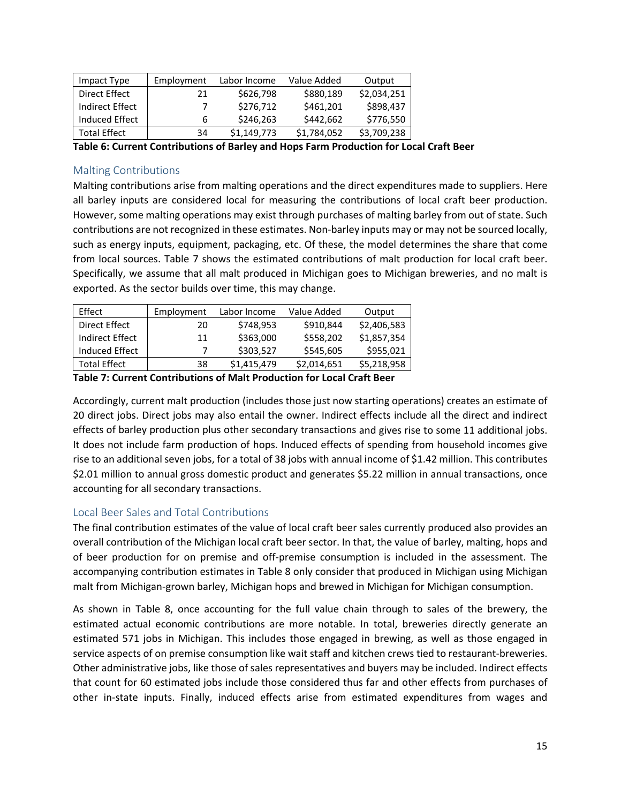| Impact Type         | Employment | Labor Income | Value Added | Output      |
|---------------------|------------|--------------|-------------|-------------|
| Direct Effect       | 21         | \$626,798    | \$880,189   | \$2,034,251 |
| Indirect Effect     |            | \$276,712    | \$461,201   | \$898,437   |
| Induced Effect      | 6          | \$246,263    | \$442,662   | \$776,550   |
| <b>Total Effect</b> | 34         | \$1,149,773  | \$1,784,052 | \$3,709,238 |

**Table 6: Current Contributions of Barley and Hops Farm Production for Local Craft Beer**

### Malting Contributions

Malting contributions arise from malting operations and the direct expenditures made to suppliers. Here all barley inputs are considered local for measuring the contributions of local craft beer production. However, some malting operations may exist through purchases of malting barley from out of state. Such contributions are not recognized in these estimates. Non-barley inputs may or may not be sourced locally, such as energy inputs, equipment, packaging, etc. Of these, the model determines the share that come from local sources. Table 7 shows the estimated contributions of malt production for local craft beer. Specifically, we assume that all malt produced in Michigan goes to Michigan breweries, and no malt is exported. As the sector builds over time, this may change.

| Effect          | Employment | Labor Income | Value Added | Output      |
|-----------------|------------|--------------|-------------|-------------|
| Direct Effect   | 20         | \$748,953    | \$910,844   | \$2,406,583 |
| Indirect Effect | 11         | \$363,000    | \$558,202   | \$1,857,354 |
| Induced Effect  |            | \$303,527    | \$545,605   | \$955,021   |
| Total Effect    | 38         | \$1,415,479  | \$2,014,651 | \$5,218,958 |

**Table 7: Current Contributions of Malt Production for Local Craft Beer**

Accordingly, current malt production (includes those just now starting operations) creates an estimate of 20 direct jobs. Direct jobs may also entail the owner. Indirect effects include all the direct and indirect effects of barley production plus other secondary transactions and gives rise to some 11 additional jobs. It does not include farm production of hops. Induced effects of spending from household incomes give rise to an additional seven jobs, for a total of 38 jobs with annual income of \$1.42 million. This contributes \$2.01 million to annual gross domestic product and generates \$5.22 million in annual transactions, once accounting for all secondary transactions.

### Local Beer Sales and Total Contributions

The final contribution estimates of the value of local craft beer sales currently produced also provides an overall contribution of the Michigan local craft beer sector. In that, the value of barley, malting, hops and of beer production for on premise and off‐premise consumption is included in the assessment. The accompanying contribution estimates in Table 8 only consider that produced in Michigan using Michigan malt from Michigan‐grown barley, Michigan hops and brewed in Michigan for Michigan consumption.

As shown in Table 8, once accounting for the full value chain through to sales of the brewery, the estimated actual economic contributions are more notable. In total, breweries directly generate an estimated 571 jobs in Michigan. This includes those engaged in brewing, as well as those engaged in service aspects of on premise consumption like wait staff and kitchen crews tied to restaurant-breweries. Other administrative jobs, like those of sales representatives and buyers may be included. Indirect effects that count for 60 estimated jobs include those considered thus far and other effects from purchases of other in‐state inputs. Finally, induced effects arise from estimated expenditures from wages and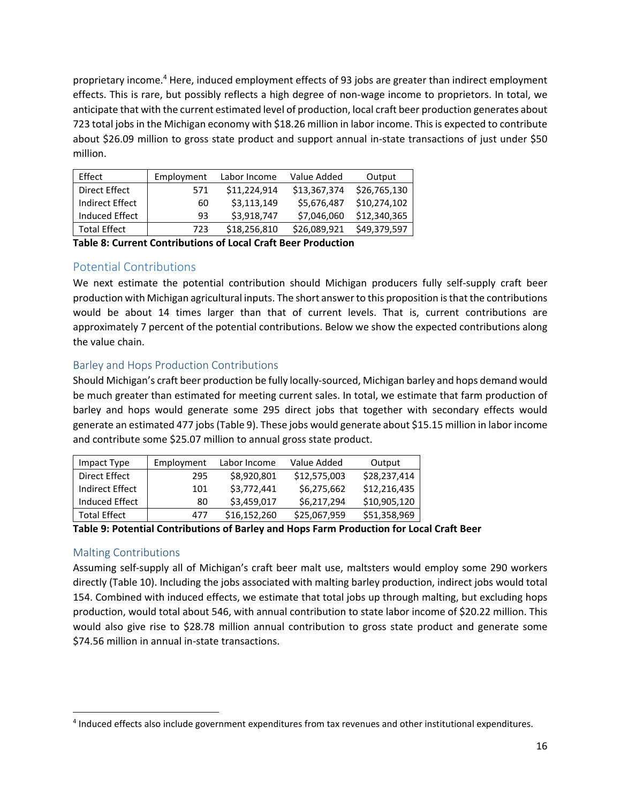proprietary income.4 Here, induced employment effects of 93 jobs are greater than indirect employment effects. This is rare, but possibly reflects a high degree of non‐wage income to proprietors. In total, we anticipate that with the current estimated level of production, local craft beer production generates about 723 total jobsin the Michigan economy with \$18.26 million in labor income. Thisis expected to contribute about \$26.09 million to gross state product and support annual in-state transactions of just under \$50 million.

| Effect              | Employment | Labor Income | Value Added  | Output       |
|---------------------|------------|--------------|--------------|--------------|
| Direct Effect       | 571        | \$11,224,914 | \$13,367,374 | \$26.765.130 |
| Indirect Effect     | 60         | \$3,113,149  | \$5,676,487  | \$10,274,102 |
| Induced Effect      | 93         | \$3,918,747  | \$7,046,060  | \$12,340,365 |
| <b>Total Effect</b> | 723        | \$18,256,810 | \$26,089,921 | \$49.379.597 |

**Table 8: Current Contributions of Local Craft Beer Production**

### Potential Contributions

We next estimate the potential contribution should Michigan producers fully self-supply craft beer production with Michigan agricultural inputs. The short answerto this proposition isthat the contributions would be about 14 times larger than that of current levels. That is, current contributions are approximately 7 percent of the potential contributions. Below we show the expected contributions along the value chain.

### Barley and Hops Production Contributions

Should Michigan's craft beer production be fully locally‐sourced, Michigan barley and hops demand would be much greater than estimated for meeting current sales. In total, we estimate that farm production of barley and hops would generate some 295 direct jobs that together with secondary effects would generate an estimated 477 jobs(Table 9). These jobs would generate about \$15.15 million in labor income and contribute some \$25.07 million to annual gross state product.

| Impact Type         | Employment | Labor Income | Value Added  | Output       |
|---------------------|------------|--------------|--------------|--------------|
| Direct Effect       | 295        | \$8,920,801  | \$12,575,003 | \$28,237,414 |
| Indirect Effect     | 101        | \$3,772,441  | \$6,275,662  | \$12,216,435 |
| Induced Effect      | 80         | \$3,459,017  | \$6,217,294  | \$10,905,120 |
| <b>Total Effect</b> | 477        | \$16,152,260 | \$25,067,959 | \$51,358,969 |

#### **Table 9: Potential Contributions of Barley and Hops Farm Production for Local Craft Beer**

### Malting Contributions

Assuming self‐supply all of Michigan's craft beer malt use, maltsters would employ some 290 workers directly (Table 10). Including the jobs associated with malting barley production, indirect jobs would total 154. Combined with induced effects, we estimate that total jobs up through malting, but excluding hops production, would total about 546, with annual contribution to state labor income of \$20.22 million. This would also give rise to \$28.78 million annual contribution to gross state product and generate some \$74.56 million in annual in‐state transactions.

<sup>4</sup> Induced effects also include government expenditures from tax revenues and other institutional expenditures.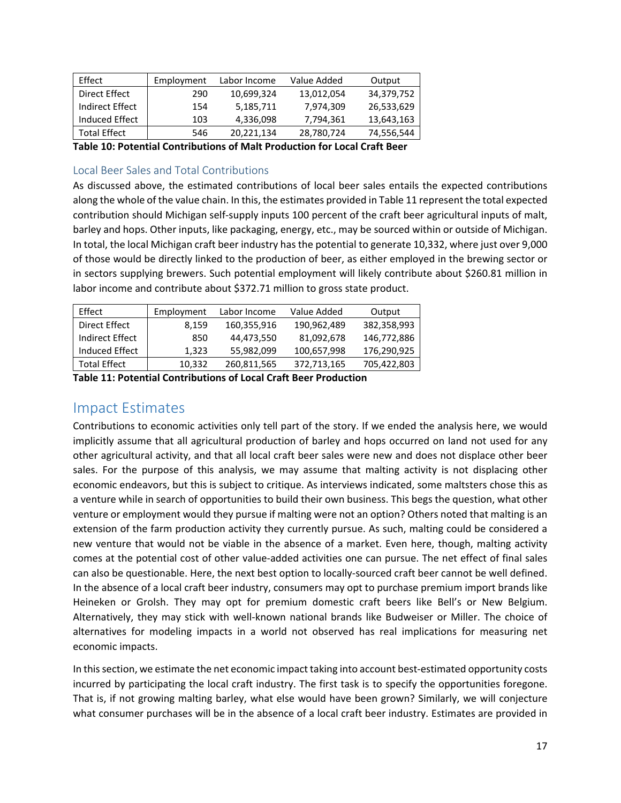| Effect              | Employment | Labor Income | Value Added | Output     |
|---------------------|------------|--------------|-------------|------------|
| Direct Effect       | 290        | 10.699.324   | 13,012,054  | 34,379,752 |
| Indirect Effect     | 154        | 5,185,711    | 7.974.309   | 26,533,629 |
| Induced Effect      | 103        | 4,336,098    | 7,794,361   | 13,643,163 |
| <b>Total Effect</b> | 546        | 20,221,134   | 28,780,724  | 74,556,544 |

**Table 10: Potential Contributions of Malt Production for Local Craft Beer**

### Local Beer Sales and Total Contributions

As discussed above, the estimated contributions of local beer sales entails the expected contributions along the whole of the value chain. In this, the estimates provided in Table 11 represent the total expected contribution should Michigan self‐supply inputs 100 percent of the craft beer agricultural inputs of malt, barley and hops. Other inputs, like packaging, energy, etc., may be sourced within or outside of Michigan. In total, the local Michigan craft beer industry has the potential to generate 10,332, where just over 9,000 of those would be directly linked to the production of beer, as either employed in the brewing sector or in sectors supplying brewers. Such potential employment will likely contribute about \$260.81 million in labor income and contribute about \$372.71 million to gross state product.

| Effect              | Employment | Labor Income | Value Added | Output      |
|---------------------|------------|--------------|-------------|-------------|
| Direct Effect       | 8,159      | 160,355,916  | 190,962,489 | 382,358,993 |
| Indirect Effect     | 850        | 44.473.550   | 81,092,678  | 146,772,886 |
| Induced Effect      | 1,323      | 55,982,099   | 100,657,998 | 176,290,925 |
| <b>Total Effect</b> | 10,332     | 260,811,565  | 372,713,165 | 705,422,803 |

**Table 11: Potential Contributions of Local Craft Beer Production**

# Impact Estimates

Contributions to economic activities only tell part of the story. If we ended the analysis here, we would implicitly assume that all agricultural production of barley and hops occurred on land not used for any other agricultural activity, and that all local craft beer sales were new and does not displace other beer sales. For the purpose of this analysis, we may assume that malting activity is not displacing other economic endeavors, but this is subject to critique. As interviews indicated, some maltsters chose this as a venture while in search of opportunities to build their own business. This begs the question, what other venture or employment would they pursue if malting were not an option? Others noted that malting is an extension of the farm production activity they currently pursue. As such, malting could be considered a new venture that would not be viable in the absence of a market. Even here, though, malting activity comes at the potential cost of other value‐added activities one can pursue. The net effect of final sales can also be questionable. Here, the next best option to locally‐sourced craft beer cannot be well defined. In the absence of a local craft beer industry, consumers may opt to purchase premium import brands like Heineken or Grolsh. They may opt for premium domestic craft beers like Bell's or New Belgium. Alternatively, they may stick with well‐known national brands like Budweiser or Miller. The choice of alternatives for modeling impacts in a world not observed has real implications for measuring net economic impacts.

In thissection, we estimate the net economic impact taking into account best‐estimated opportunity costs incurred by participating the local craft industry. The first task is to specify the opportunities foregone. That is, if not growing malting barley, what else would have been grown? Similarly, we will conjecture what consumer purchases will be in the absence of a local craft beer industry. Estimates are provided in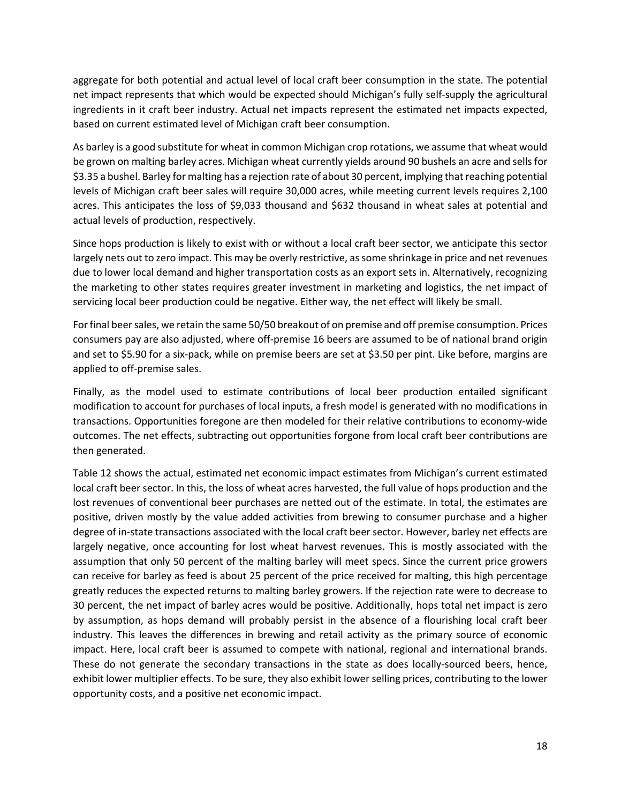aggregate for both potential and actual level of local craft beer consumption in the state. The potential net impact represents that which would be expected should Michigan's fully self-supply the agricultural ingredients in it craft beer industry. Actual net impacts represent the estimated net impacts expected, based on current estimated level of Michigan craft beer consumption.

As barley is a good substitute for wheat in common Michigan crop rotations, we assume that wheat would be grown on malting barley acres. Michigan wheat currently yields around 90 bushels an acre and sells for \$3.35 a bushel. Barley for malting has a rejection rate of about 30 percent, implying that reaching potential levels of Michigan craft beer sales will require 30,000 acres, while meeting current levels requires 2,100 acres. This anticipates the loss of \$9,033 thousand and \$632 thousand in wheat sales at potential and actual levels of production, respectively.

Since hops production is likely to exist with or without a local craft beer sector, we anticipate this sector largely nets out to zero impact. This may be overly restrictive, as some shrinkage in price and net revenues due to lower local demand and higher transportation costs as an export sets in. Alternatively, recognizing the marketing to other states requires greater investment in marketing and logistics, the net impact of servicing local beer production could be negative. Either way, the net effect will likely be small.

Forfinal beersales, we retain the same 50/50 breakout of on premise and off premise consumption. Prices consumers pay are also adjusted, where off‐premise 16 beers are assumed to be of national brand origin and set to \$5.90 for a six‐pack, while on premise beers are set at \$3.50 per pint. Like before, margins are applied to off‐premise sales.

Finally, as the model used to estimate contributions of local beer production entailed significant modification to account for purchases of local inputs, a fresh model is generated with no modifications in transactions. Opportunities foregone are then modeled for their relative contributions to economy‐wide outcomes. The net effects, subtracting out opportunities forgone from local craft beer contributions are then generated.

Table 12 shows the actual, estimated net economic impact estimates from Michigan's current estimated local craft beer sector. In this, the loss of wheat acres harvested, the full value of hops production and the lost revenues of conventional beer purchases are netted out of the estimate. In total, the estimates are positive, driven mostly by the value added activities from brewing to consumer purchase and a higher degree of in‐state transactions associated with the local craft beer sector. However, barley net effects are largely negative, once accounting for lost wheat harvest revenues. This is mostly associated with the assumption that only 50 percent of the malting barley will meet specs. Since the current price growers can receive for barley as feed is about 25 percent of the price received for malting, this high percentage greatly reduces the expected returns to malting barley growers. If the rejection rate were to decrease to 30 percent, the net impact of barley acres would be positive. Additionally, hops total net impact is zero by assumption, as hops demand will probably persist in the absence of a flourishing local craft beer industry. This leaves the differences in brewing and retail activity as the primary source of economic impact. Here, local craft beer is assumed to compete with national, regional and international brands. These do not generate the secondary transactions in the state as does locally-sourced beers, hence, exhibit lower multiplier effects. To be sure, they also exhibit lower selling prices, contributing to the lower opportunity costs, and a positive net economic impact.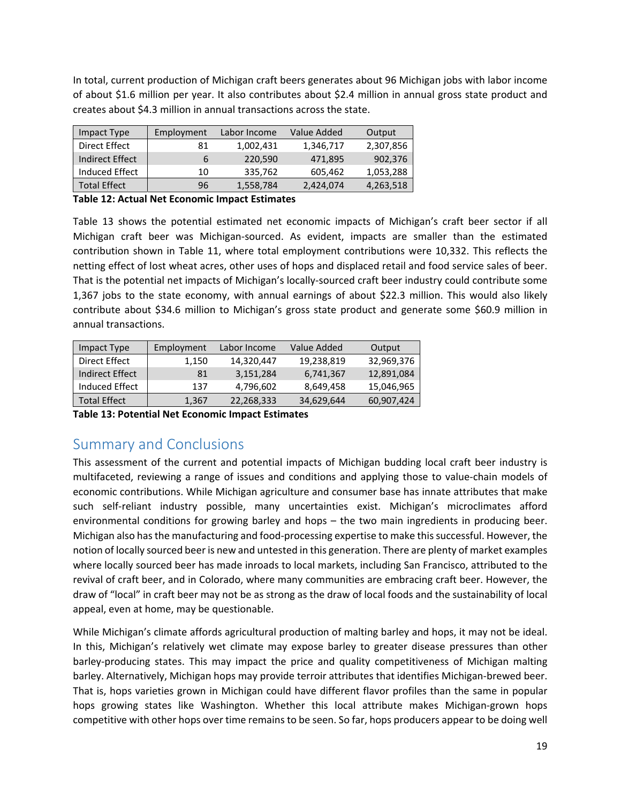In total, current production of Michigan craft beers generates about 96 Michigan jobs with labor income of about \$1.6 million per year. It also contributes about \$2.4 million in annual gross state product and creates about \$4.3 million in annual transactions across the state.

| Impact Type            | Employment | Labor Income | Value Added | Output    |
|------------------------|------------|--------------|-------------|-----------|
| <b>Direct Effect</b>   | 81         | 1,002,431    | 1,346,717   | 2,307,856 |
| <b>Indirect Effect</b> | 6          | 220.590      | 471.895     | 902,376   |
| Induced Effect         | 10         | 335,762      | 605,462     | 1,053,288 |
| <b>Total Effect</b>    | 96         | 1,558,784    | 2,424,074   | 4,263,518 |

**Table 12: Actual Net Economic Impact Estimates** 

Table 13 shows the potential estimated net economic impacts of Michigan's craft beer sector if all Michigan craft beer was Michigan‐sourced. As evident, impacts are smaller than the estimated contribution shown in Table 11, where total employment contributions were 10,332. This reflects the netting effect of lost wheat acres, other uses of hops and displaced retail and food service sales of beer. That is the potential net impacts of Michigan's locally‐sourced craft beer industry could contribute some 1,367 jobs to the state economy, with annual earnings of about \$22.3 million. This would also likely contribute about \$34.6 million to Michigan's gross state product and generate some \$60.9 million in annual transactions.

| Impact Type         | Employment | Labor Income | Value Added | Output     |
|---------------------|------------|--------------|-------------|------------|
| Direct Effect       | 1.150      | 14,320,447   | 19,238,819  | 32,969,376 |
| Indirect Effect     | 81         | 3.151.284    | 6,741,367   | 12,891,084 |
| Induced Effect      | 137        | 4,796,602    | 8,649,458   | 15,046,965 |
| <b>Total Effect</b> | 1,367      | 22,268,333   | 34,629,644  | 60,907,424 |

**Table 13: Potential Net Economic Impact Estimates** 

# Summary and Conclusions

This assessment of the current and potential impacts of Michigan budding local craft beer industry is multifaceted, reviewing a range of issues and conditions and applying those to value‐chain models of economic contributions. While Michigan agriculture and consumer base has innate attributes that make such self-reliant industry possible, many uncertainties exist. Michigan's microclimates afford environmental conditions for growing barley and hops – the two main ingredients in producing beer. Michigan also has the manufacturing and food-processing expertise to make this successful. However, the notion of locally sourced beer is new and untested in this generation. There are plenty of market examples where locally sourced beer has made inroads to local markets, including San Francisco, attributed to the revival of craft beer, and in Colorado, where many communities are embracing craft beer. However, the draw of "local" in craft beer may not be as strong as the draw of local foods and the sustainability of local appeal, even at home, may be questionable.

While Michigan's climate affords agricultural production of malting barley and hops, it may not be ideal. In this, Michigan's relatively wet climate may expose barley to greater disease pressures than other barley‐producing states. This may impact the price and quality competitiveness of Michigan malting barley. Alternatively, Michigan hops may provide terroir attributes that identifies Michigan‐brewed beer. That is, hops varieties grown in Michigan could have different flavor profiles than the same in popular hops growing states like Washington. Whether this local attribute makes Michigan-grown hops competitive with other hops over time remains to be seen. So far, hops producers appear to be doing well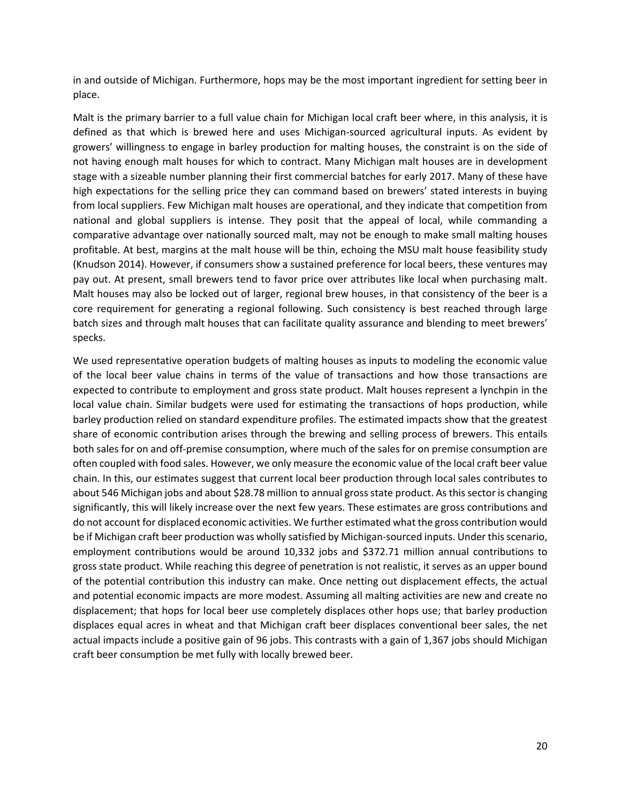in and outside of Michigan. Furthermore, hops may be the most important ingredient for setting beer in place.

Malt is the primary barrier to a full value chain for Michigan local craft beer where, in this analysis, it is defined as that which is brewed here and uses Michigan‐sourced agricultural inputs. As evident by growers' willingness to engage in barley production for malting houses, the constraint is on the side of not having enough malt houses for which to contract. Many Michigan malt houses are in development stage with a sizeable number planning their first commercial batches for early 2017. Many of these have high expectations for the selling price they can command based on brewers' stated interests in buying from local suppliers. Few Michigan malt houses are operational, and they indicate that competition from national and global suppliers is intense. They posit that the appeal of local, while commanding a comparative advantage over nationally sourced malt, may not be enough to make small malting houses profitable. At best, margins at the malt house will be thin, echoing the MSU malt house feasibility study (Knudson 2014). However, if consumers show a sustained preference for local beers, these ventures may pay out. At present, small brewers tend to favor price over attributes like local when purchasing malt. Malt houses may also be locked out of larger, regional brew houses, in that consistency of the beer is a core requirement for generating a regional following. Such consistency is best reached through large batch sizes and through malt houses that can facilitate quality assurance and blending to meet brewers' specks.

We used representative operation budgets of malting houses as inputs to modeling the economic value of the local beer value chains in terms of the value of transactions and how those transactions are expected to contribute to employment and gross state product. Malt houses represent a lynchpin in the local value chain. Similar budgets were used for estimating the transactions of hops production, while barley production relied on standard expenditure profiles. The estimated impacts show that the greatest share of economic contribution arises through the brewing and selling process of brewers. This entails both sales for on and off‐premise consumption, where much of the sales for on premise consumption are often coupled with food sales. However, we only measure the economic value of the local craft beer value chain. In this, our estimates suggest that current local beer production through local sales contributes to about 546 Michigan jobs and about \$28.78 million to annual gross state product. As this sector is changing significantly, this will likely increase over the next few years. These estimates are gross contributions and do not account for displaced economic activities. We further estimated what the gross contribution would be if Michigan craft beer production was wholly satisfied by Michigan-sourced inputs. Under this scenario, employment contributions would be around 10,332 jobs and \$372.71 million annual contributions to gross state product. While reaching this degree of penetration is not realistic, it serves as an upper bound of the potential contribution this industry can make. Once netting out displacement effects, the actual and potential economic impacts are more modest. Assuming all malting activities are new and create no displacement; that hops for local beer use completely displaces other hops use; that barley production displaces equal acres in wheat and that Michigan craft beer displaces conventional beer sales, the net actual impacts include a positive gain of 96 jobs. This contrasts with a gain of 1,367 jobs should Michigan craft beer consumption be met fully with locally brewed beer.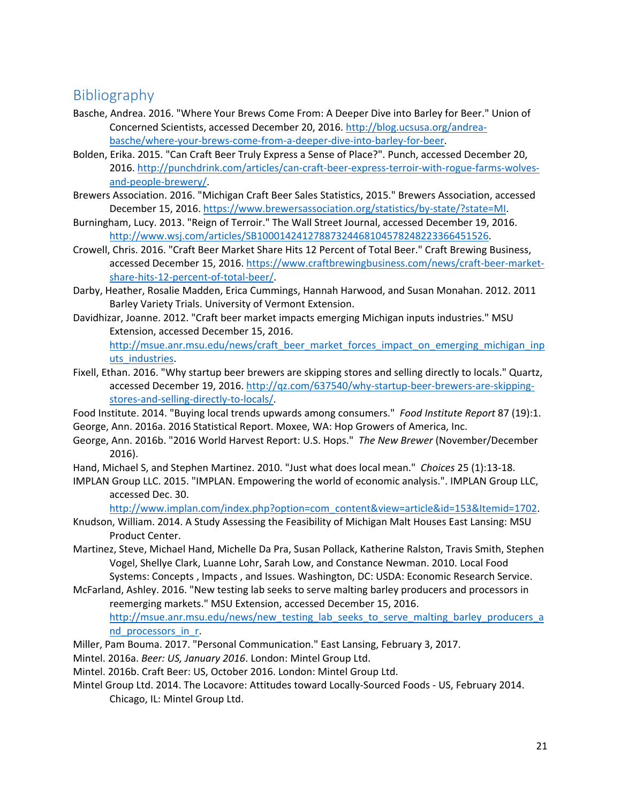# Bibliography

- Basche, Andrea. 2016. "Where Your Brews Come From: A Deeper Dive into Barley for Beer." Union of Concerned Scientists, accessed December 20, 2016. http://blog.ucsusa.org/andrea‐ basche/where‐your‐brews‐come‐from‐a‐deeper‐dive‐into‐barley‐for‐beer.
- Bolden, Erika. 2015. "Can Craft Beer Truly Express a Sense of Place?". Punch, accessed December 20, 2016. http://punchdrink.com/articles/can-craft-beer-express-terroir-with-rogue-farms-wolvesand‐people‐brewery/.
- Brewers Association. 2016. "Michigan Craft Beer Sales Statistics, 2015." Brewers Association, accessed December 15, 2016. https://www.brewersassociation.org/statistics/by-state/?state=MI.
- Burningham, Lucy. 2013. "Reign of Terroir." The Wall Street Journal, accessed December 19, 2016. http://www.wsj.com/articles/SB10001424127887324468104578248223366451526.
- Crowell, Chris. 2016. "Craft Beer Market Share Hits 12 Percent of Total Beer." Craft Brewing Business, accessed December 15, 2016. https://www.craftbrewingbusiness.com/news/craft-beer-marketshare-hits-12-percent-of-total-beer/.
- Darby, Heather, Rosalie Madden, Erica Cummings, Hannah Harwood, and Susan Monahan. 2012. 2011 Barley Variety Trials. University of Vermont Extension.
- Davidhizar, Joanne. 2012. "Craft beer market impacts emerging Michigan inputs industries." MSU Extension, accessed December 15, 2016.

http://msue.anr.msu.edu/news/craft\_beer\_market\_forces\_impact\_on\_emerging\_michigan\_inp uts industries.

- Fixell, Ethan. 2016. "Why startup beer brewers are skipping stores and selling directly to locals." Quartz, accessed December 19, 2016. http://qz.com/637540/why-startup-beer-brewers-are-skippingstores-and-selling-directly-to-locals/.
- Food Institute. 2014. "Buying local trends upwards among consumers." *Food Institute Report* 87 (19):1. George, Ann. 2016a. 2016 Statistical Report. Moxee, WA: Hop Growers of America, Inc.
- George, Ann. 2016b. "2016 World Harvest Report: U.S. Hops." *The New Brewer* (November/December 2016).
- Hand, Michael S, and Stephen Martinez. 2010. "Just what does local mean." *Choices* 25 (1):13‐18.
- IMPLAN Group LLC. 2015. "IMPLAN. Empowering the world of economic analysis.". IMPLAN Group LLC, accessed Dec. 30.

http://www.implan.com/index.php?option=com\_content&view=article&id=153&Itemid=1702.

Knudson, William. 2014. A Study Assessing the Feasibility of Michigan Malt Houses East Lansing: MSU Product Center.

- Martinez, Steve, Michael Hand, Michelle Da Pra, Susan Pollack, Katherine Ralston, Travis Smith, Stephen Vogel, Shellye Clark, Luanne Lohr, Sarah Low, and Constance Newman. 2010. Local Food Systems: Concepts , Impacts , and Issues. Washington, DC: USDA: Economic Research Service.
- McFarland, Ashley. 2016. "New testing lab seeks to serve malting barley producers and processors in reemerging markets." MSU Extension, accessed December 15, 2016. http://msue.anr.msu.edu/news/new\_testing\_lab\_seeks\_to\_serve\_malting\_barley\_producers\_a nd processors in r.
- Miller, Pam Bouma. 2017. "Personal Communication." East Lansing, February 3, 2017.
- Mintel. 2016a. *Beer: US, January 2016*. London: Mintel Group Ltd.
- Mintel. 2016b. Craft Beer: US, October 2016. London: Mintel Group Ltd.
- Mintel Group Ltd. 2014. The Locavore: Attitudes toward Locally‐Sourced Foods ‐ US, February 2014. Chicago, IL: Mintel Group Ltd.